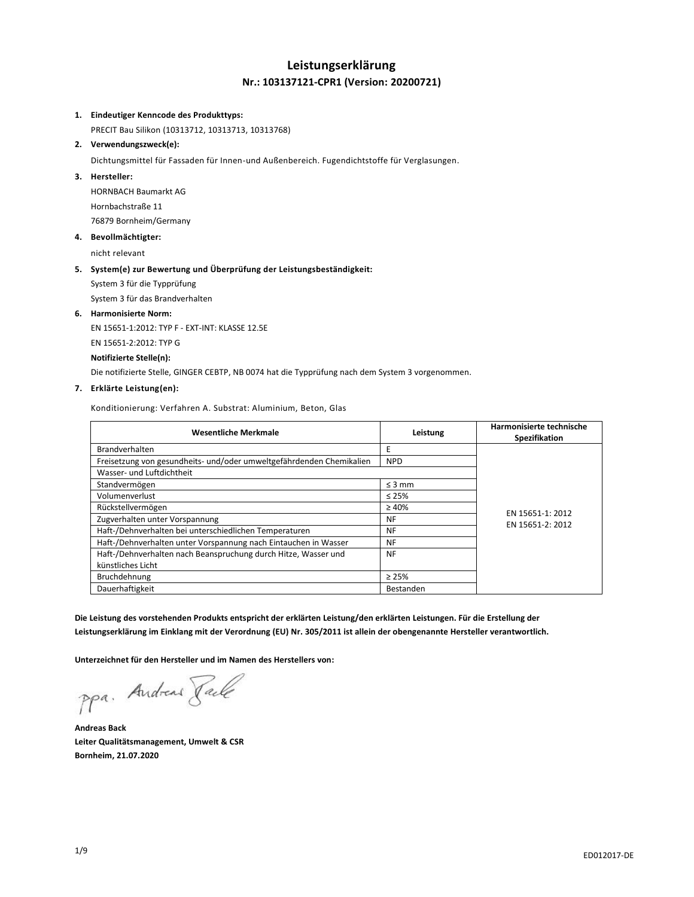# **Leistungserklärung Nr.: 103137121-CPR1 (Version: 20200721)**

#### **1. Eindeutiger Kenncode des Produkttyps:**

PRECIT Bau Silikon (10313712, 10313713, 10313768)

**2. Verwendungszweck(e):**

Dichtungsmittel für Fassaden für Innen-und Außenbereich. Fugendichtstoffe für Verglasungen.

### **3. Hersteller:**

HORNBACH Baumarkt AG Hornbachstraße 11 76879 Bornheim/Germany

## **4. Bevollmächtigter:**

nicht relevant

## **5. System(e) zur Bewertung und Überprüfung der Leistungsbeständigkeit:**

System 3 für die Typprüfung

System 3 für das Brandverhalten

#### **6. Harmonisierte Norm:**

EN 15651-1:2012: TYP F - EXT-INT: KLASSE 12.5E EN 15651-2:2012: TYP G **Notifizierte Stelle(n):**

Die notifizierte Stelle, GINGER CEBTP, NB 0074 hat die Typprüfung nach dem System 3 vorgenommen.

# **7. Erklärte Leistung(en):**

Konditionierung: Verfahren A. Substrat: Aluminium, Beton, Glas

| <b>Wesentliche Merkmale</b>                                          | Leistung    | Harmonisierte technische<br>Spezifikation |
|----------------------------------------------------------------------|-------------|-------------------------------------------|
| <b>Brandverhalten</b>                                                | E           |                                           |
| Freisetzung von gesundheits- und/oder umweltgefährdenden Chemikalien | <b>NPD</b>  |                                           |
| Wasser- und Luftdichtheit                                            |             |                                           |
| Standvermögen                                                        | $\leq$ 3 mm |                                           |
| Volumenverlust                                                       | $\leq 25\%$ |                                           |
| Rückstellvermögen                                                    | $\geq 40\%$ | EN 15651-1: 2012                          |
| Zugverhalten unter Vorspannung                                       | NF          | EN 15651-2: 2012                          |
| Haft-/Dehnverhalten bei unterschiedlichen Temperaturen               | <b>NF</b>   |                                           |
| Haft-/Dehnverhalten unter Vorspannung nach Eintauchen in Wasser      | <b>NF</b>   |                                           |
| Haft-/Dehnverhalten nach Beanspruchung durch Hitze, Wasser und       | <b>NF</b>   |                                           |
| künstliches Licht                                                    |             |                                           |
| Bruchdehnung                                                         | $\geq 25\%$ |                                           |
| Dauerhaftigkeit                                                      | Bestanden   |                                           |

**Die Leistung des vorstehenden Produkts entspricht der erklärten Leistung/den erklärten Leistungen. Für die Erstellung der Leistungserklärung im Einklang mit der Verordnung (EU) Nr. 305/2011 ist allein der obengenannte Hersteller verantwortlich.**

**Unterzeichnet für den Hersteller und im Namen des Herstellers von:**

ppa. Andreas Pale

**Andreas Back Leiter Qualitätsmanagement, Umwelt & CSR Bornheim, 21.07.2020**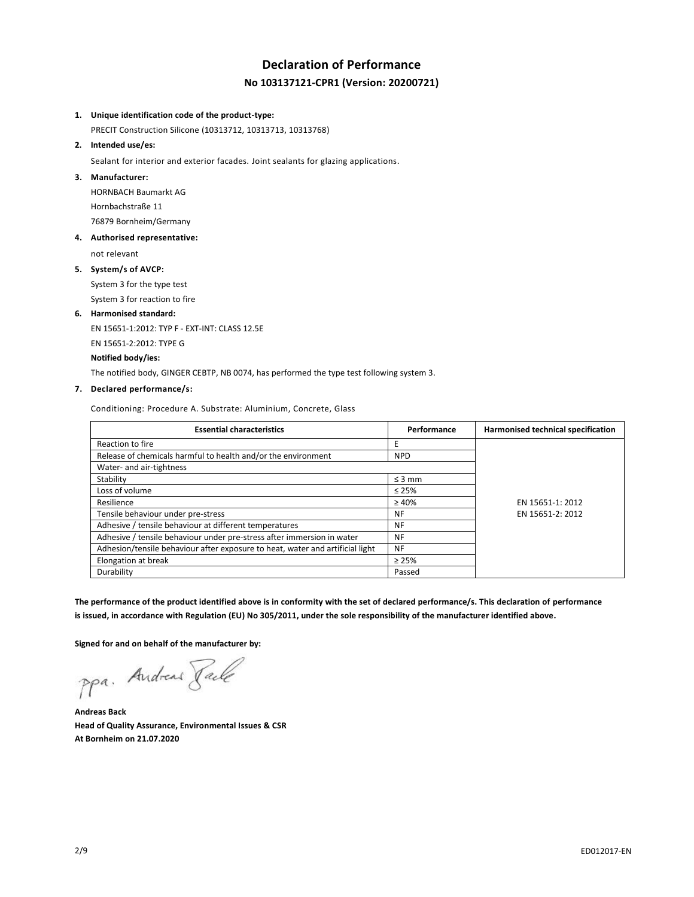# **Declaration of Performance No 103137121-CPR1 (Version: 20200721)**

#### **1. Unique identification code of the product-type:**

PRECIT Construction Silicone (10313712, 10313713, 10313768)

# **2. Intended use/es:**

Sealant for interior and exterior facades. Joint sealants for glazing applications.

#### **3. Manufacturer:**

HORNBACH Baumarkt AG Hornbachstraße 11 76879 Bornheim/Germany

#### **4. Authorised representative:**

not relevant

# **5. System/s of AVCP:**

System 3 for the type test System 3 for reaction to fire

# **6. Harmonised standard:**

EN 15651-1:2012: TYP F - EXT-INT: CLASS 12.5E EN 15651-2:2012: TYPE G **Notified body/ies:**

The notified body, GINGER CEBTP, NB 0074, has performed the type test following system 3.

#### **7. Declared performance/s:**

Conditioning: Procedure A. Substrate: Aluminium, Concrete, Glass

| <b>Essential characteristics</b>                                              | Performance | Harmonised technical specification |
|-------------------------------------------------------------------------------|-------------|------------------------------------|
| Reaction to fire                                                              |             |                                    |
| Release of chemicals harmful to health and/or the environment                 | <b>NPD</b>  |                                    |
| Water- and air-tightness                                                      |             |                                    |
| Stability                                                                     | $\leq$ 3 mm |                                    |
| Loss of volume                                                                | $\leq 25\%$ |                                    |
| Resilience                                                                    | $\geq 40\%$ | EN 15651-1: 2012                   |
| Tensile behaviour under pre-stress                                            | NF          | EN 15651-2: 2012                   |
| Adhesive / tensile behaviour at different temperatures                        | <b>NF</b>   |                                    |
| Adhesive / tensile behaviour under pre-stress after immersion in water        | <b>NF</b>   |                                    |
| Adhesion/tensile behaviour after exposure to heat, water and artificial light | <b>NF</b>   |                                    |
| Elongation at break                                                           | $\geq 25\%$ |                                    |
| Durability                                                                    | Passed      |                                    |

**The performance of the product identified above is in conformity with the set of declared performance/s. This declaration of performance is issued, in accordance with Regulation (EU) No 305/2011, under the sole responsibility of the manufacturer identified above.**

**Signed for and on behalf of the manufacturer by:**

ppa. Andreas Face

**Andreas Back Head of Quality Assurance, Environmental Issues & CSR At Bornheim on 21.07.2020**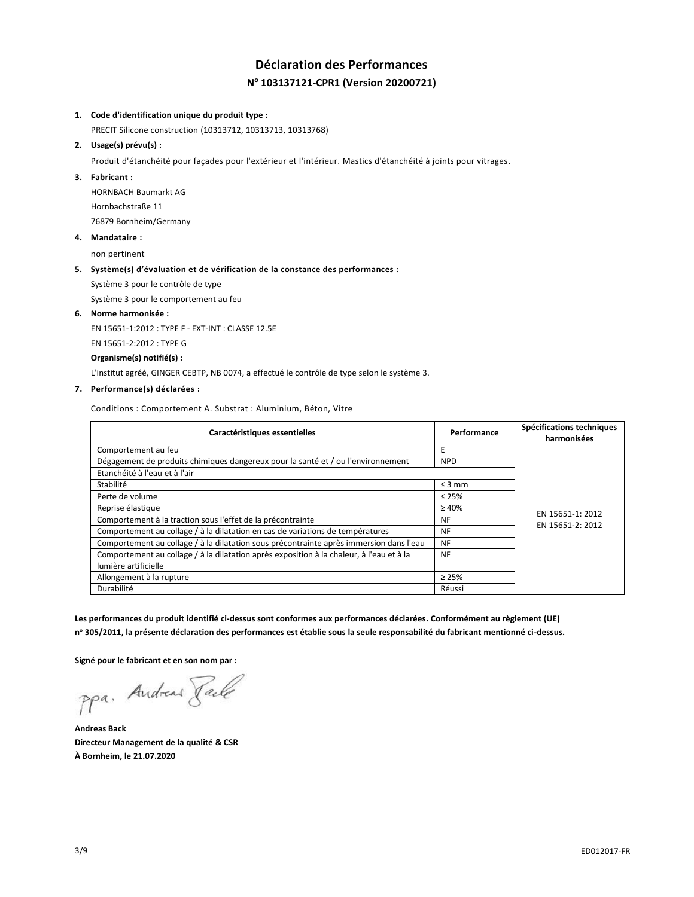# **Déclaration des Performances N <sup>o</sup> 103137121-CPR1 (Version 20200721)**

#### **1. Code d'identification unique du produit type :**

PRECIT Silicone construction (10313712, 10313713, 10313768)

**2. Usage(s) prévu(s) :**

Produit d'étanchéité pour façades pour l'extérieur et l'intérieur. Mastics d'étanchéité à joints pour vitrages.

#### **3. Fabricant :**

HORNBACH Baumarkt AG Hornbachstraße 11 76879 Bornheim/Germany

**4. Mandataire :**

non pertinent

#### **5. Système(s) d'évaluation et de vérification de la constance des performances :**

Système 3 pour le contrôle de type

Système 3 pour le comportement au feu

**6. Norme harmonisée :**

EN 15651-1:2012 : TYPE F - EXT-INT : CLASSE 12.5E

EN 15651-2:2012 : TYPE G

**Organisme(s) notifié(s) :**

L'institut agréé, GINGER CEBTP, NB 0074, a effectué le contrôle de type selon le système 3.

### **7. Performance(s) déclarées :**

Conditions : Comportement A. Substrat : Aluminium, Béton, Vitre

| Caractéristiques essentielles                                                            | Performance | Spécifications techniques |
|------------------------------------------------------------------------------------------|-------------|---------------------------|
|                                                                                          |             | harmonisées               |
| Comportement au feu                                                                      | E           |                           |
| Dégagement de produits chimiques dangereux pour la santé et / ou l'environnement         | <b>NPD</b>  |                           |
| Etanchéité à l'eau et à l'air                                                            |             |                           |
| Stabilité                                                                                | $\leq$ 3 mm |                           |
| Perte de volume                                                                          | $\leq 25\%$ |                           |
| Reprise élastique                                                                        | $\geq 40\%$ | EN 15651-1: 2012          |
| Comportement à la traction sous l'effet de la précontrainte                              | <b>NF</b>   | EN 15651-2: 2012          |
| Comportement au collage / à la dilatation en cas de variations de températures           | <b>NF</b>   |                           |
| Comportement au collage / à la dilatation sous précontrainte après immersion dans l'eau  | <b>NF</b>   |                           |
| Comportement au collage / à la dilatation après exposition à la chaleur, à l'eau et à la | <b>NF</b>   |                           |
| lumière artificielle                                                                     |             |                           |
| Allongement à la rupture                                                                 | $\geq 25\%$ |                           |
| Durabilité                                                                               | Réussi      |                           |

**Les performances du produit identifié ci-dessus sont conformes aux performances déclarées. Conformément au règlement (UE) n <sup>o</sup> 305/2011, la présente déclaration des performances est établie sous la seule responsabilité du fabricant mentionné ci-dessus.**

**Signé pour le fabricant et en son nom par :**

ppa. Andreas Face

**Andreas Back Directeur Management de la qualité & CSR À Bornheim, le 21.07.2020**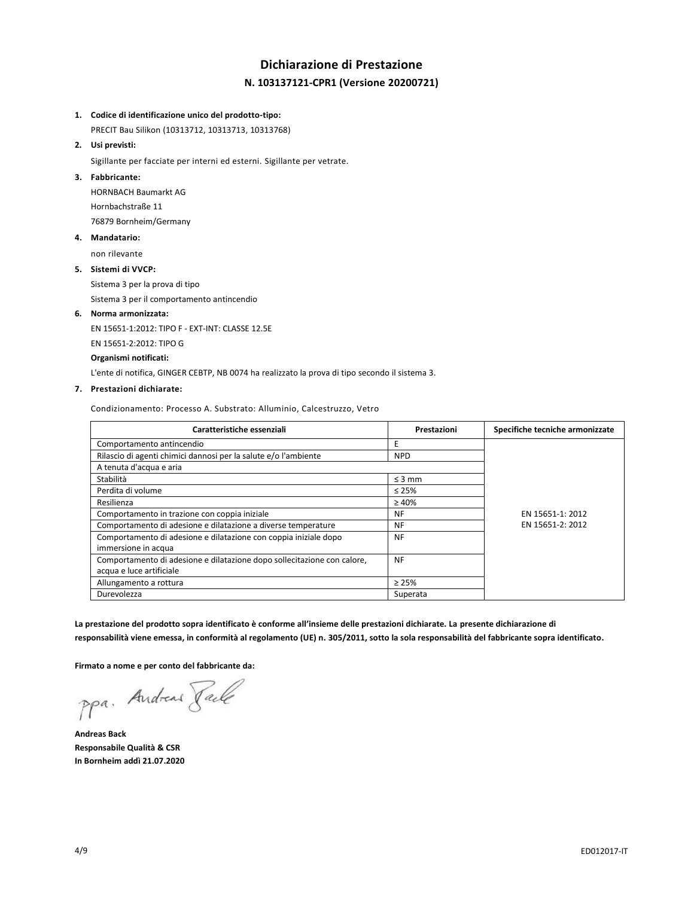# **Dichiarazione di Prestazione N. 103137121-CPR1 (Versione 20200721)**

#### **1. Codice di identificazione unico del prodotto-tipo:**

PRECIT Bau Silikon (10313712, 10313713, 10313768)

# **2. Usi previsti:**

Sigillante per facciate per interni ed esterni. Sigillante per vetrate.

#### **3. Fabbricante:**

HORNBACH Baumarkt AG Hornbachstraße 11 76879 Bornheim/Germany

### **4. Mandatario:**

non rilevante

#### **5. Sistemi di VVCP:**

Sistema 3 per la prova di tipo

Sistema 3 per il comportamento antincendio

#### **6. Norma armonizzata:**

EN 15651-1:2012: TIPO F - EXT-INT: CLASSE 12.5E

EN 15651-2:2012: TIPO G

### **Organismi notificati:**

L'ente di notifica, GINGER CEBTP, NB 0074 ha realizzato la prova di tipo secondo il sistema 3.

#### **7. Prestazioni dichiarate:**

Condizionamento: Processo A. Substrato: Alluminio, Calcestruzzo, Vetro

| Caratteristiche essenziali                                              | Prestazioni | Specifiche tecniche armonizzate |
|-------------------------------------------------------------------------|-------------|---------------------------------|
| Comportamento antincendio                                               | E           |                                 |
| Rilascio di agenti chimici dannosi per la salute e/o l'ambiente         | <b>NPD</b>  |                                 |
| A tenuta d'acqua e aria                                                 |             |                                 |
| Stabilità                                                               | $\leq$ 3 mm |                                 |
| Perdita di volume                                                       | $\leq 25\%$ |                                 |
| Resilienza                                                              | $\geq 40\%$ |                                 |
| Comportamento in trazione con coppia iniziale                           | NF          | EN 15651-1: 2012                |
| Comportamento di adesione e dilatazione a diverse temperature           | NF          | EN 15651-2: 2012                |
| Comportamento di adesione e dilatazione con coppia iniziale dopo        | <b>NF</b>   |                                 |
| immersione in acqua                                                     |             |                                 |
| Comportamento di adesione e dilatazione dopo sollecitazione con calore, | <b>NF</b>   |                                 |
| acqua e luce artificiale                                                |             |                                 |
| Allungamento a rottura                                                  | $\geq 25\%$ |                                 |
| Durevolezza                                                             | Superata    |                                 |

**La prestazione del prodotto sopra identificato è conforme all'insieme delle prestazioni dichiarate. La presente dichiarazione di responsabilità viene emessa, in conformità al regolamento (UE) n. 305/2011, sotto la sola responsabilità del fabbricante sopra identificato.**

**Firmato a nome e per conto del fabbricante da:**

ppa. Andreas Faile

**Andreas Back Responsabile Qualità & CSR In Bornheim addì 21.07.2020**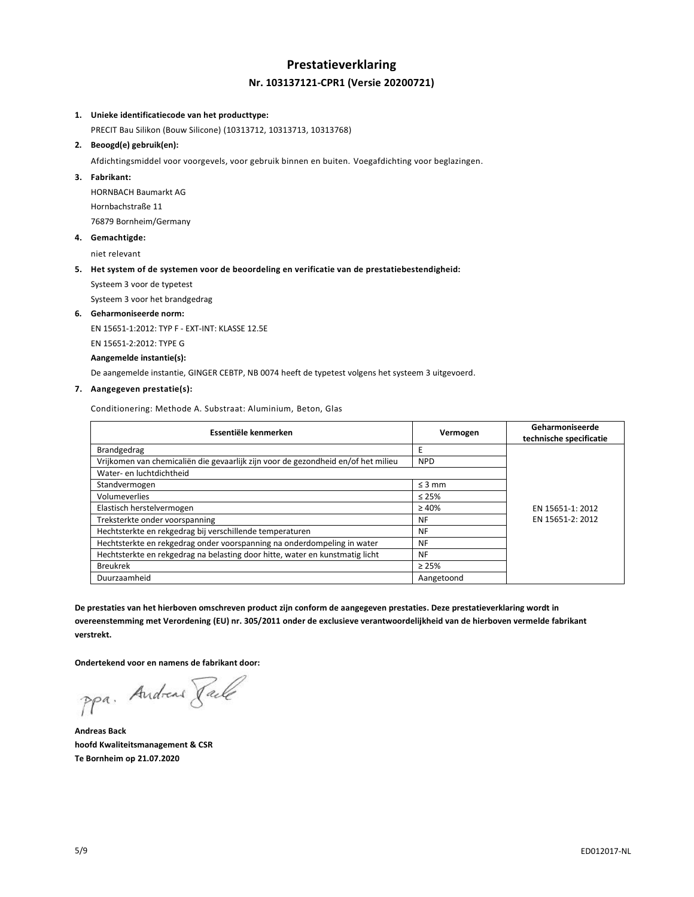# **Prestatieverklaring Nr. 103137121-CPR1 (Versie 20200721)**

#### **1. Unieke identificatiecode van het producttype:**

PRECIT Bau Silikon (Bouw Silicone) (10313712, 10313713, 10313768)

# **2. Beoogd(e) gebruik(en):**

Afdichtingsmiddel voor voorgevels, voor gebruik binnen en buiten. Voegafdichting voor beglazingen.

# **3. Fabrikant:**

HORNBACH Baumarkt AG Hornbachstraße 11 76879 Bornheim/Germany

**4. Gemachtigde:**

niet relevant

## **5. Het system of de systemen voor de beoordeling en verificatie van de prestatiebestendigheid:**

Systeem 3 voor de typetest

Systeem 3 voor het brandgedrag

#### **6. Geharmoniseerde norm:**

EN 15651-1:2012: TYP F - EXT-INT: KLASSE 12.5E

EN 15651-2:2012: TYPE G

## **Aangemelde instantie(s):**

De aangemelde instantie, GINGER CEBTP, NB 0074 heeft de typetest volgens het systeem 3 uitgevoerd.

# **7. Aangegeven prestatie(s):**

Conditionering: Methode A. Substraat: Aluminium, Beton, Glas

| Essentiële kenmerken                                                              | Vermogen    | Geharmoniseerde<br>technische specificatie |
|-----------------------------------------------------------------------------------|-------------|--------------------------------------------|
| Brandgedrag                                                                       | E           |                                            |
| Vrijkomen van chemicaliën die gevaarlijk zijn voor de gezondheid en/of het milieu | <b>NPD</b>  |                                            |
| Water- en luchtdichtheid                                                          |             |                                            |
| Standvermogen                                                                     | $\leq$ 3 mm |                                            |
| Volumeverlies                                                                     | $\leq 25\%$ |                                            |
| Elastisch herstelvermogen                                                         | $\geq 40\%$ | EN 15651-1: 2012                           |
| Treksterkte onder voorspanning                                                    | <b>NF</b>   | EN 15651-2: 2012                           |
| Hechtsterkte en rekgedrag bij verschillende temperaturen                          | <b>NF</b>   |                                            |
| Hechtsterkte en rekgedrag onder voorspanning na onderdompeling in water           | <b>NF</b>   |                                            |
| Hechtsterkte en rekgedrag na belasting door hitte, water en kunstmatig licht      | <b>NF</b>   |                                            |
| <b>Breukrek</b>                                                                   | $\geq 25\%$ |                                            |
| Duurzaamheid                                                                      | Aangetoond  |                                            |

**De prestaties van het hierboven omschreven product zijn conform de aangegeven prestaties. Deze prestatieverklaring wordt in overeenstemming met Verordening (EU) nr. 305/2011 onder de exclusieve verantwoordelijkheid van de hierboven vermelde fabrikant verstrekt.**

**Ondertekend voor en namens de fabrikant door:**

ppa. Andreas Face

**Andreas Back hoofd Kwaliteitsmanagement & CSR Te Bornheim op 21.07.2020**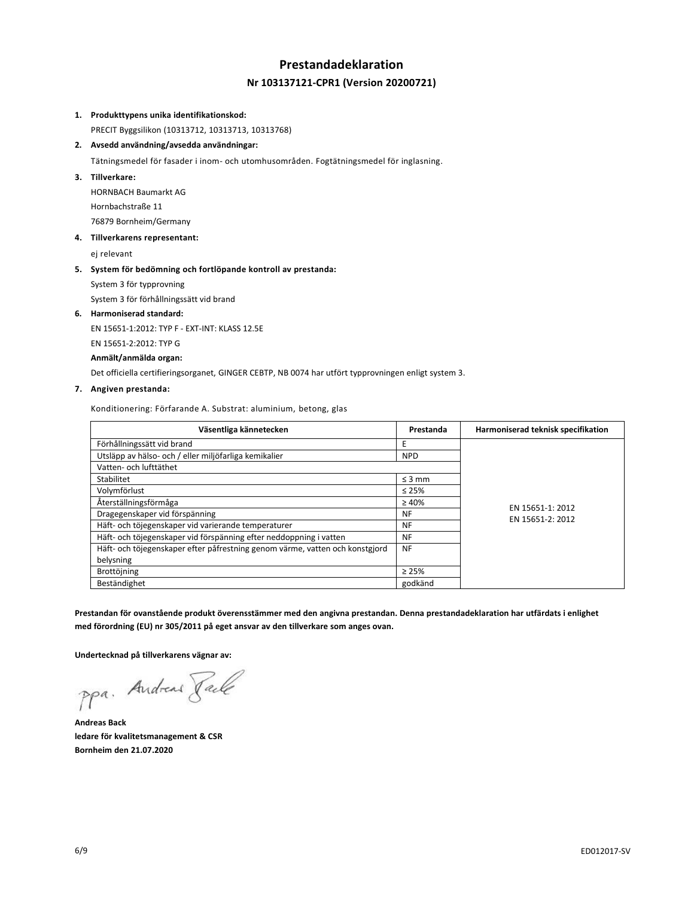# **Prestandadeklaration Nr 103137121-CPR1 (Version 20200721)**

#### **1. Produkttypens unika identifikationskod:**

PRECIT Byggsilikon (10313712, 10313713, 10313768)

**2. Avsedd användning/avsedda användningar:**

Tätningsmedel för fasader i inom- och utomhusområden. Fogtätningsmedel för inglasning.

## **3. Tillverkare:**

HORNBACH Baumarkt AG Hornbachstraße 11 76879 Bornheim/Germany

## **4. Tillverkarens representant:**

ej relevant

#### **5. System för bedömning och fortlöpande kontroll av prestanda:**

System 3 för typprovning

System 3 för förhållningssätt vid brand

#### **6. Harmoniserad standard:**

EN 15651-1:2012: TYP F - EXT-INT: KLASS 12.5E

EN 15651-2:2012: TYP G

## **Anmält/anmälda organ:**

Det officiella certifieringsorganet, GINGER CEBTP, NB 0074 har utfört typprovningen enligt system 3.

#### **7. Angiven prestanda:**

Konditionering: Förfarande A. Substrat: aluminium, betong, glas

| Väsentliga kännetecken                                                       | Prestanda   | Harmoniserad teknisk specifikation |
|------------------------------------------------------------------------------|-------------|------------------------------------|
| Förhållningssätt vid brand                                                   | F           |                                    |
| Utsläpp av hälso- och / eller miljöfarliga kemikalier                        | <b>NPD</b>  |                                    |
| Vatten- och lufttäthet                                                       |             |                                    |
| Stabilitet                                                                   | $\leq$ 3 mm |                                    |
| Volymförlust                                                                 | $\leq 25\%$ |                                    |
| Återställningsförmåga                                                        | $\geq 40\%$ | EN 15651-1: 2012                   |
| Dragegenskaper vid förspänning                                               | NF          | EN 15651-2: 2012                   |
| Häft- och töjegenskaper vid varierande temperaturer                          | <b>NF</b>   |                                    |
| Häft- och töjegenskaper vid förspänning efter neddoppning i vatten           | NF          |                                    |
| Häft- och töjegenskaper efter påfrestning genom värme, vatten och konstgjord | NF          |                                    |
| belysning                                                                    |             |                                    |
| Brottöjning                                                                  | $\geq 25\%$ |                                    |
| Beständighet                                                                 | godkänd     |                                    |

**Prestandan för ovanstående produkt överensstämmer med den angivna prestandan. Denna prestandadeklaration har utfärdats i enlighet med förordning (EU) nr 305/2011 på eget ansvar av den tillverkare som anges ovan.**

**Undertecknad på tillverkarens vägnar av:**

ppa. Andreas Pale

**Andreas Back ledare för kvalitetsmanagement & CSR Bornheim den 21.07.2020**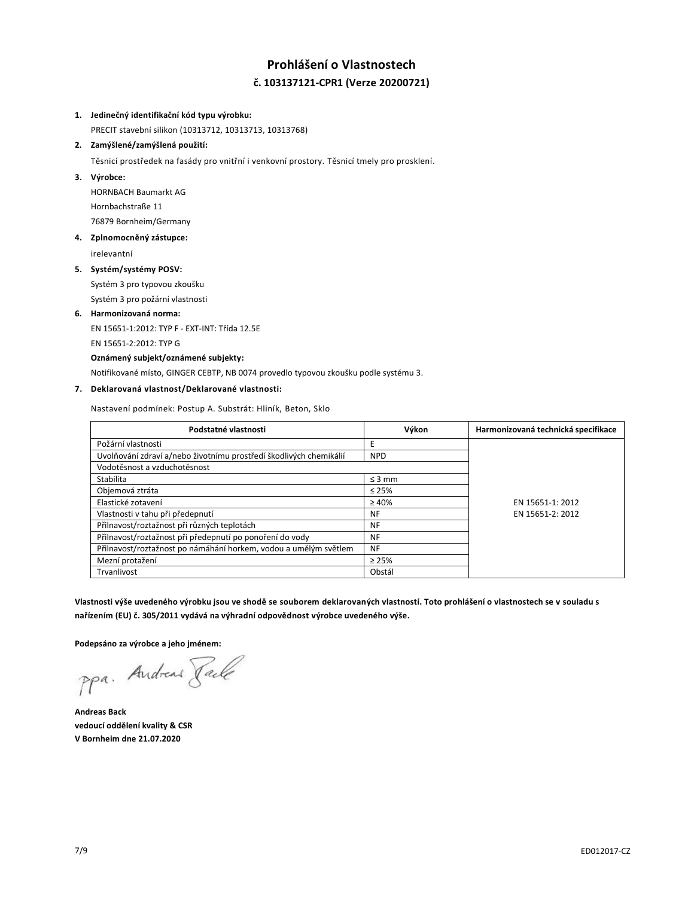# **Prohlášení o Vlastnostech č. 103137121-CPR1 (Verze 20200721)**

### **1. Jedinečný identifikační kód typu výrobku:**

PRECIT stavební silikon (10313712, 10313713, 10313768)

# **2. Zamýšlené/zamýšlená použití:**

Těsnicí prostředek na fasády pro vnitřní i venkovní prostory. Těsnicí tmely pro prosklení.

### **3. Výrobce:**

HORNBACH Baumarkt AG Hornbachstraße 11 76879 Bornheim/Germany

# **4. Zplnomocněný zástupce:**

irelevantní

## **5. Systém/systémy POSV:**

Systém 3 pro typovou zkoušku Systém 3 pro požární vlastnosti

# **6. Harmonizovaná norma:**

EN 15651-1:2012: TYP F - EXT-INT: Třída 12.5E EN 15651-2:2012: TYP G

## **Oznámený subjekt/oznámené subjekty:**

Notifikované místo, GINGER CEBTP, NB 0074 provedlo typovou zkoušku podle systému 3.

# **7. Deklarovaná vlastnost/Deklarované vlastnosti:**

Nastavení podmínek: Postup A. Substrát: Hliník, Beton, Sklo

| Podstatné vlastnosti                                               | Výkon       | Harmonizovaná technická specifikace |
|--------------------------------------------------------------------|-------------|-------------------------------------|
| Požární vlastnosti                                                 | Е           |                                     |
| Uvolňování zdraví a/nebo životnímu prostředí škodlivých chemikálií | <b>NPD</b>  |                                     |
| Vodotěsnost a vzduchotěsnost                                       |             |                                     |
| Stabilita                                                          | $\leq$ 3 mm |                                     |
| Objemová ztráta                                                    | $\leq 25\%$ |                                     |
| Elastické zotavení                                                 | $\geq 40\%$ | EN 15651-1: 2012                    |
| Vlastnosti v tahu při předepnutí                                   | <b>NF</b>   | EN 15651-2: 2012                    |
| Přilnavost/roztažnost při různých teplotách                        | <b>NF</b>   |                                     |
| Přilnavost/roztažnost při předepnutí po ponoření do vody           | NF          |                                     |
| Přilnavost/roztažnost po námáhání horkem, vodou a umělým světlem   | <b>NF</b>   |                                     |
| Mezní protažení                                                    | $\geq 25\%$ |                                     |
| Trvanlivost                                                        | Obstál      |                                     |

**Vlastnosti výše uvedeného výrobku jsou ve shodě se souborem deklarovaných vlastností. Toto prohlášení o vlastnostech se v souladu s nařízením (EU) č. 305/2011 vydává na výhradní odpovědnost výrobce uvedeného výše.**

**Podepsáno za výrobce a jeho jménem:**

ppa. Andreas Face

**Andreas Back vedoucí oddělení kvality & CSR V Bornheim dne 21.07.2020**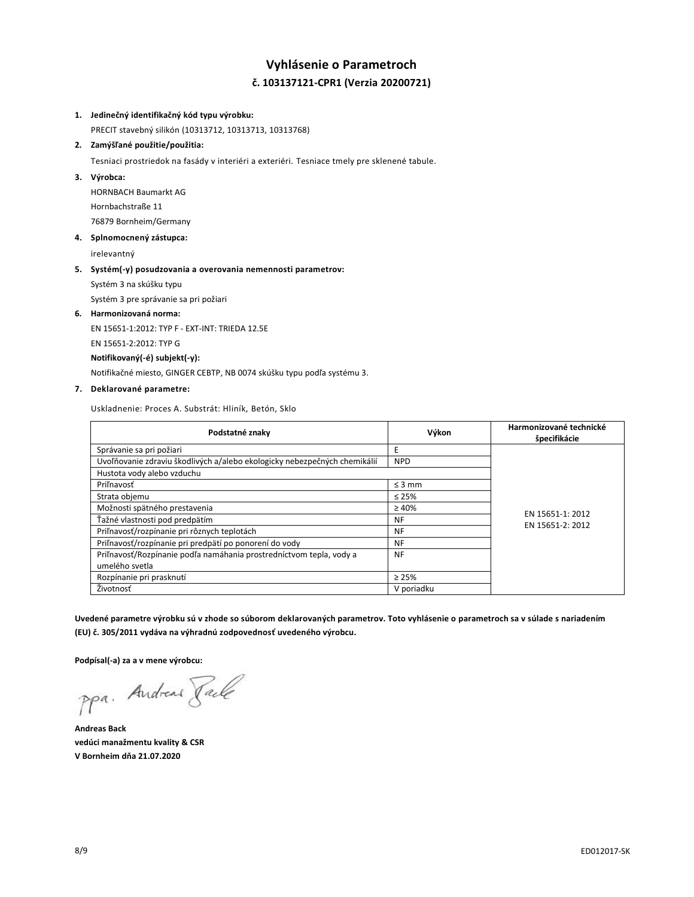# **Vyhlásenie o Parametroch č. 103137121-CPR1 (Verzia 20200721)**

### **1. Jedinečný identifikačný kód typu výrobku:**

PRECIT stavebný silikón (10313712, 10313713, 10313768)

# **2. Zamýšľané použitie/použitia:**

Tesniaci prostriedok na fasády v interiéri a exteriéri. Tesniace tmely pre sklenené tabule.

#### **3. Výrobca:**

HORNBACH Baumarkt AG Hornbachstraße 11 76879 Bornheim/Germany

#### **4. Splnomocnený zástupca:**

irelevantný

#### **5. Systém(-y) posudzovania a overovania nemennosti parametrov:**

Systém 3 na skúšku typu

Systém 3 pre správanie sa pri požiari

#### **6. Harmonizovaná norma:**

EN 15651-1:2012: TYP F - EXT-INT: TRIEDA 12.5E

EN 15651-2:2012: TYP G

## **Notifikovaný(-é) subjekt(-y):**

Notifikačné miesto, GINGER CEBTP, NB 0074 skúšku typu podľa systému 3.

## **7. Deklarované parametre:**

Uskladnenie: Proces A. Substrát: Hliník, Betón, Sklo

| Podstatné znaky                                                           | Výkon       | Harmonizované technické<br>špecifikácie |
|---------------------------------------------------------------------------|-------------|-----------------------------------------|
| Správanie sa pri požiari                                                  | E           |                                         |
| Uvoľňovanie zdraviu škodlivých a/alebo ekologicky nebezpečných chemikálií | <b>NPD</b>  |                                         |
| Hustota vody alebo vzduchu                                                |             |                                         |
| Priľnavosť                                                                | $\leq$ 3 mm |                                         |
| Strata objemu                                                             | $\leq 25\%$ |                                         |
| Možnosti spätného prestavenia                                             | $\geq 40\%$ | EN 15651-1: 2012<br>EN 15651-2: 2012    |
| Ťažné vlastnosti pod predpätím                                            | <b>NF</b>   |                                         |
| Priľnavosť/rozpínanie pri rôznych teplotách                               | <b>NF</b>   |                                         |
| Priľnavosť/rozpínanie pri predpätí po ponorení do vody                    | <b>NF</b>   |                                         |
| Priľnavosť/Rozpínanie podľa namáhania prostredníctvom tepla, vody a       | <b>NF</b>   |                                         |
| umelého svetla                                                            |             |                                         |
| Rozpínanie pri prasknutí                                                  | $\geq 25\%$ |                                         |
| Životnosť                                                                 | V poriadku  |                                         |

**Uvedené parametre výrobku sú v zhode so súborom deklarovaných parametrov. Toto vyhlásenie o parametroch sa v súlade s nariadením (EU) č. 305/2011 vydáva na výhradnú zodpovednosť uvedeného výrobcu.**

**Podpísal(-a) za a v mene výrobcu:**

ppa. Andreas Pale

**Andreas Back vedúci manažmentu kvality & CSR V Bornheim dňa 21.07.2020**